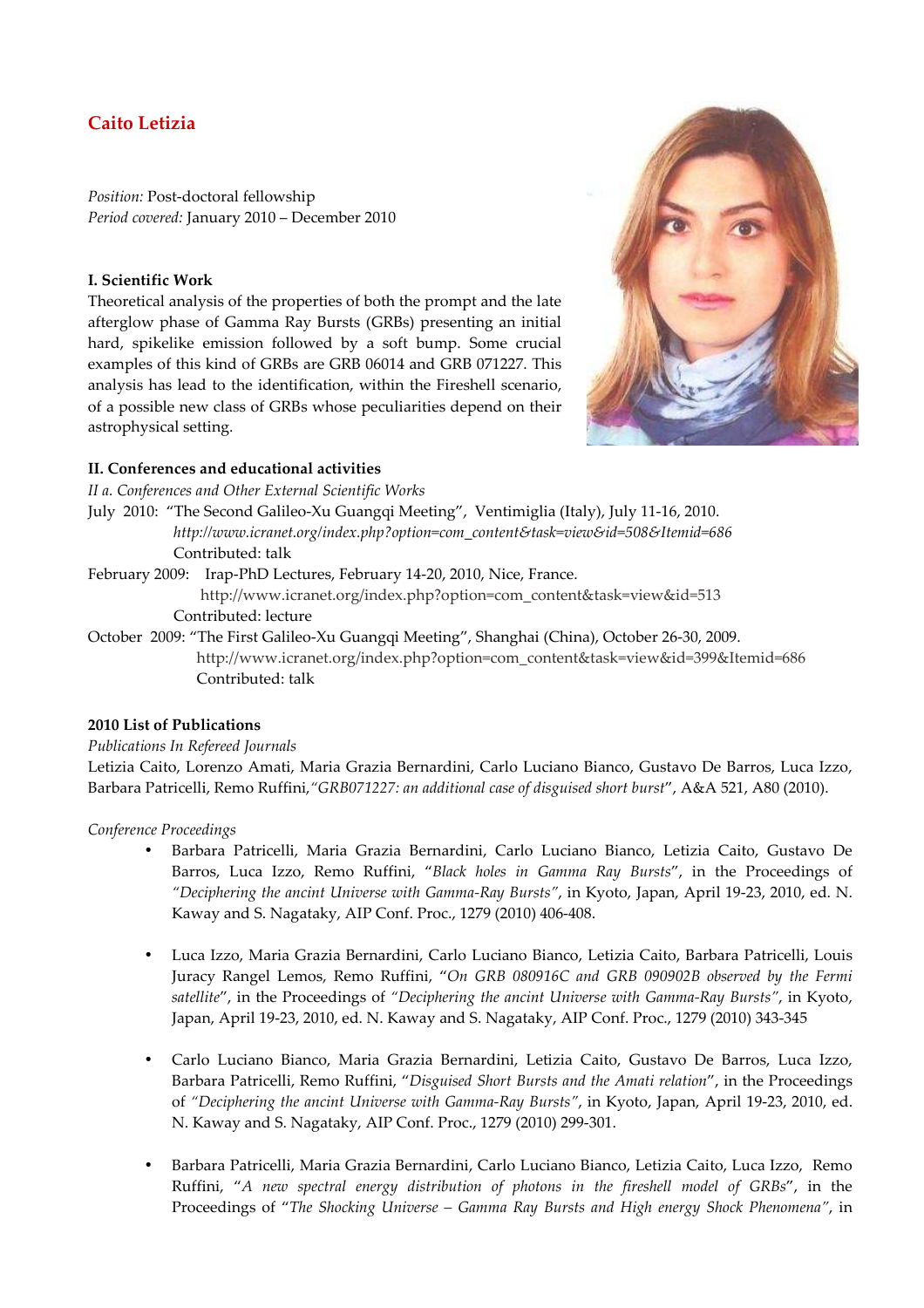# **Caito Letizia**

*Position:* Post-doctoral fellowship *Period covered:* January 2010 – December 2010

### **I. Scientific Work**

Theoretical analysis of the properties of both the prompt and the late afterglow phase of Gamma Ray Bursts (GRBs) presenting an initial hard, spikelike emission followed by a soft bump. Some crucial examples of this kind of GRBs are GRB 06014 and GRB 071227. This analysis has lead to the identification, within the Fireshell scenario, of a possible new class of GRBs whose peculiarities depend on their astrophysical setting.



## **II. Conferences and educational activities**

*II a. Conferences and Other External Scientific Works* 

July 2010: "The Second Galileo-Xu Guangqi Meeting", Ventimiglia (Italy), July 11-16, 2010.  *http://www.icranet.org/index.php?option=com\_content&task=view&id=508&Itemid=686*  Contributed: talk

February 2009: Irap-PhD Lectures, February 14-20, 2010, Nice, France.

http://www.icranet.org/index.php?option=com\_content&task=view&id=513 Contributed: lecture

October 2009: "The First Galileo-Xu Guangqi Meeting", Shanghai (China), October 26-30, 2009. http://www.icranet.org/index.php?option=com\_content&task=view&id=399&Itemid=686 Contributed: talk

## **2010 List of Publications**

### *Publications In Refereed Journals*

Letizia Caito, Lorenzo Amati, Maria Grazia Bernardini, Carlo Luciano Bianco, Gustavo De Barros, Luca Izzo, Barbara Patricelli, Remo Ruffini,*"GRB071227: an additional case of disguised short burst*", A&A 521, A80 (2010).

*Conference Proceedings* 

- Barbara Patricelli, Maria Grazia Bernardini, Carlo Luciano Bianco, Letizia Caito, Gustavo De Barros, Luca Izzo, Remo Ruffini, "*Black holes in Gamma Ray Bursts*", in the Proceedings of *"Deciphering the ancint Universe with Gamma-Ray Bursts"*, in Kyoto, Japan, April 19-23, 2010, ed. N. Kaway and S. Nagataky, AIP Conf. Proc., 1279 (2010) 406-408.
- Luca Izzo, Maria Grazia Bernardini, Carlo Luciano Bianco, Letizia Caito, Barbara Patricelli, Louis Juracy Rangel Lemos, Remo Ruffini, "*On GRB 080916C and GRB 090902B observed by the Fermi satellite*", in the Proceedings of *"Deciphering the ancint Universe with Gamma-Ray Bursts"*, in Kyoto, Japan, April 19-23, 2010, ed. N. Kaway and S. Nagataky, AIP Conf. Proc., 1279 (2010) 343-345
- Carlo Luciano Bianco, Maria Grazia Bernardini, Letizia Caito, Gustavo De Barros, Luca Izzo, Barbara Patricelli, Remo Ruffini, "*Disguised Short Bursts and the Amati relation*", in the Proceedings of *"Deciphering the ancint Universe with Gamma-Ray Bursts"*, in Kyoto, Japan, April 19-23, 2010, ed. N. Kaway and S. Nagataky, AIP Conf. Proc., 1279 (2010) 299-301.
- Barbara Patricelli, Maria Grazia Bernardini, Carlo Luciano Bianco, Letizia Caito, Luca Izzo, Remo Ruffini, "*A new spectral energy distribution of photons in the fireshell model of GRBs*", in the Proceedings of "*The Shocking Universe – Gamma Ray Bursts and High energy Shock Phenomena"*, in